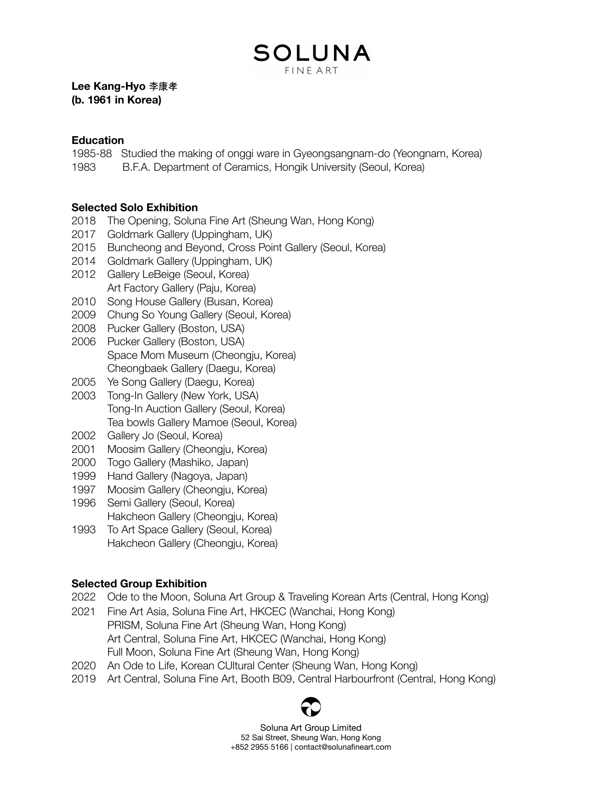### SOLUNA **FINE ART**

**Lee Kang-Hyo** 李康孝 **(b. 1961 in Korea)**

#### **Education**

1985-88 Studied the making of onggi ware in Gyeongsangnam-do (Yeongnam, Korea)

1983 B.F.A. Department of Ceramics, Hongik University (Seoul, Korea)

### **Selected Solo Exhibition**

- 2018 The Opening, Soluna Fine Art (Sheung Wan, Hong Kong)
- 2017 Goldmark Gallery (Uppingham, UK)
- 2015 Buncheong and Beyond, Cross Point Gallery (Seoul, Korea)
- 2014 Goldmark Gallery (Uppingham, UK)
- 2012 Gallery LeBeige (Seoul, Korea) Art Factory Gallery (Paju, Korea)
- 2010 Song House Gallery (Busan, Korea)
- 2009 Chung So Young Gallery (Seoul, Korea)
- 2008 Pucker Gallery (Boston, USA)
- 2006 Pucker Gallery (Boston, USA) Space Mom Museum (Cheongju, Korea) Cheongbaek Gallery (Daegu, Korea)
- 2005 Ye Song Gallery (Daegu, Korea)
- 2003 Tong-In Gallery (New York, USA) Tong-In Auction Gallery (Seoul, Korea) Tea bowls Gallery Mamoe (Seoul, Korea)
- 2002 Gallery Jo (Seoul, Korea)
- 2001 Moosim Gallery (Cheongju, Korea)
- 2000 Togo Gallery (Mashiko, Japan)
- 1999 Hand Gallery (Nagoya, Japan)
- 1997 Moosim Gallery (Cheongju, Korea)
- 1996 Semi Gallery (Seoul, Korea) Hakcheon Gallery (Cheongju, Korea)
- 1993 To Art Space Gallery (Seoul, Korea) Hakcheon Gallery (Cheongju, Korea)

### **Selected Group Exhibition**

- 2022 Ode to the Moon, Soluna Art Group & Traveling Korean Arts (Central, Hong Kong)
- 2021 Fine Art Asia, Soluna Fine Art, HKCEC (Wanchai, Hong Kong) PRISM, Soluna Fine Art (Sheung Wan, Hong Kong) Art Central, Soluna Fine Art, HKCEC (Wanchai, Hong Kong) Full Moon, Soluna Fine Art (Sheung Wan, Hong Kong)
- 2020 An Ode to Life, Korean CUltural Center (Sheung Wan, Hong Kong)
- 2019 Art Central, Soluna Fine Art, Booth B09, Central Harbourfront (Central, Hong Kong)



Soluna Art Group Limited 52 Sai Street, Sheung Wan, Hong Kong +852 2955 5166 | contact@solunafineart.com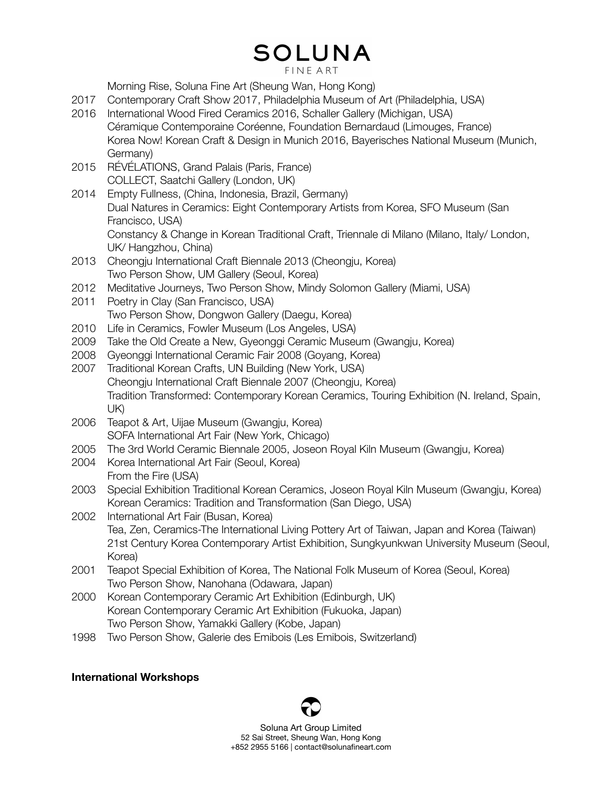## **SOLUNA**

**FINE ART** 

Morning Rise, Soluna Fine Art (Sheung Wan, Hong Kong)

- 2017 Contemporary Craft Show 2017, Philadelphia Museum of Art (Philadelphia, USA)
- 2016 International Wood Fired Ceramics 2016, Schaller Gallery (Michigan, USA) Céramique Contemporaine Coréenne, Foundation Bernardaud (Limouges, France) Korea Now! Korean Craft & Design in Munich 2016, Bayerisches National Museum (Munich, Germany)
- 2015 RÉVÉLATIONS, Grand Palais (Paris, France) COLLECT, Saatchi Gallery (London, UK)
- 2014 Empty Fullness, (China, Indonesia, Brazil, Germany) Dual Natures in Ceramics: Eight Contemporary Artists from Korea, SFO Museum (San Francisco, USA)

Constancy & Change in Korean Traditional Craft, Triennale di Milano (Milano, Italy/ London, UK/ Hangzhou, China)

- 2013 Cheongju International Craft Biennale 2013 (Cheongju, Korea) Two Person Show, UM Gallery (Seoul, Korea)
- 2012 Meditative Journeys, Two Person Show, Mindy Solomon Gallery (Miami, USA)
- 2011 Poetry in Clay (San Francisco, USA) Two Person Show, Dongwon Gallery (Daegu, Korea)
- 2010 Life in Ceramics, Fowler Museum (Los Angeles, USA)
- 2009 Take the Old Create a New, Gyeonggi Ceramic Museum (Gwangju, Korea)
- 2008 Gyeonggi International Ceramic Fair 2008 (Goyang, Korea)
- 2007 Traditional Korean Crafts, UN Building (New York, USA) Cheongju International Craft Biennale 2007 (Cheongju, Korea) Tradition Transformed: Contemporary Korean Ceramics, Touring Exhibition (N. Ireland, Spain, UK)
- 2006 Teapot & Art, Uijae Museum (Gwangju, Korea) SOFA International Art Fair (New York, Chicago)
- 2005 The 3rd World Ceramic Biennale 2005, Joseon Royal Kiln Museum (Gwangju, Korea)
- 2004 Korea International Art Fair (Seoul, Korea) From the Fire (USA)
- 2003 Special Exhibition Traditional Korean Ceramics, Joseon Royal Kiln Museum (Gwangju, Korea) Korean Ceramics: Tradition and Transformation (San Diego, USA)
- 2002 International Art Fair (Busan, Korea) Tea, Zen, Ceramics-The International Living Pottery Art of Taiwan, Japan and Korea (Taiwan) 21st Century Korea Contemporary Artist Exhibition, Sungkyunkwan University Museum (Seoul, Korea)
- 2001 Teapot Special Exhibition of Korea, The National Folk Museum of Korea (Seoul, Korea) Two Person Show, Nanohana (Odawara, Japan)
- 2000 Korean Contemporary Ceramic Art Exhibition (Edinburgh, UK) Korean Contemporary Ceramic Art Exhibition (Fukuoka, Japan) Two Person Show, Yamakki Gallery (Kobe, Japan)
- 1998 Two Person Show, Galerie des Emibois (Les Emibois, Switzerland)

### **International Workshops**



Soluna Art Group Limited 52 Sai Street, Sheung Wan, Hong Kong +852 2955 5166 | contact@solunafineart.com